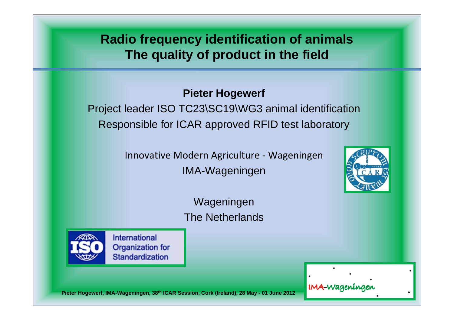**Radio frequency identification of animals The quality of product in the field**

## **Pieter Hogewerf**

Project leader ISO TC23\SC19\WG3 animal identification Responsible for ICAR approved RFID test laboratory

> Innovative Modern Agriculture ‐ Wageningen IMA-Wageningen



Wageningen The Netherlands



International **Organization for Standardization** 

IMA-Wageninge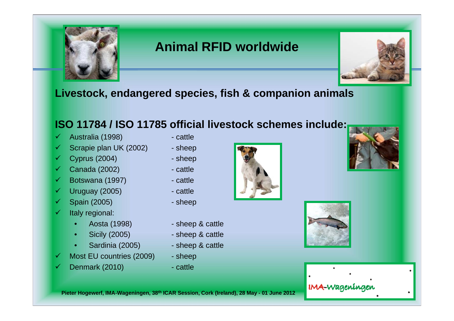

# **Animal RFID worldwide**



### **Livestock, endangered species, fish & companion animals**

# **ISO 11784 / ISO 11785 official livestock schemes include:**

- $\checkmark$ Australia (1998) - cattle
- $\checkmark$ Scrapie plan UK (2002) - sheep
- $\checkmark$ Cyprus (2004) - sheep
- $\checkmark$ Canada (2002) Fig. 2002
- $\checkmark$ Botswana (1997) - cattle
- $\checkmark$ Uruguay (2005) Fattle
- $\checkmark$ Spain (2005) - sheep
- $\checkmark$ Italy regional:
	-
	- Sicily (2005) sheep & cattle
	- Sardinia (2005) sheep & cattle
- $\checkmark$ Most EU countries (2009) - sheep
- $\checkmark$ Denmark (2010) - cattle
- 
- 
- 
- 
- 
- 
- 
- Aosta (1998) sheep & cattle
	-
	-
	-
	-







#### IMA-Wageningen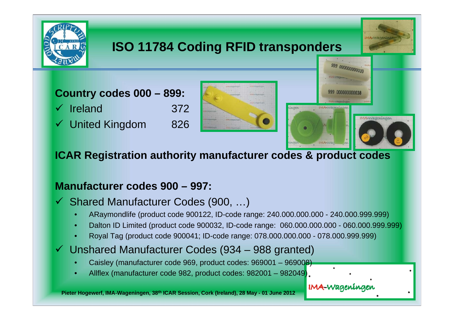

# **ISO 11784 Coding RFID transponders**

**Country codes 000 – 899:**  $\checkmark$  Ireland 372 United Kingdom 826





# **ICAR Registration authority manufacturer codes & product codes**

## **Manufacturer codes 900 – 997:**

Shared Manufacturer Codes (900, …)

- ARaymondlife (product code 900122, ID-code range: 240.000.000.000 240.000.999.999)
- Dalton ID Limited (product code 900032, ID-code range: 060.000.000.000 060.000.999.999)
- Royal Tag (product code 900041; ID-code range: 078.000.000.000 078.000.999.999)
- Unshared Manufacturer Codes (934 988 granted)
	- Caisley (manufacturer code 969, product codes: 969001 969008)
	- Allflex (manufacturer code 982, product codes: 982001 982049)

IMA-Wageninger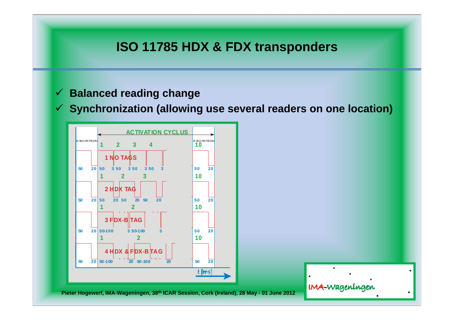# **ISO 11785 HDX & FDX transponders**

#### $\sqrt{2}$ **Balanced reading change**

 $\sqrt{2}$ **Synchronization (allowing use several readers on one location)**



IMA-Wageningen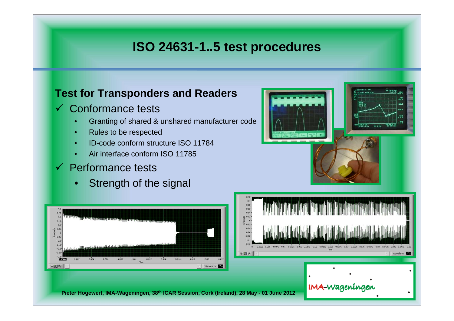# **ISO 24631-1..5 test procedures**

#### **Test for Transponders and Readers**

#### $\checkmark$ Conformance tests

- Granting of shared & unshared manufacturer code
- Rules to be respected
- ID-code conform structure ISO 11784
- Air interface conform ISO 11785

# $\checkmark$  Performance tests

Strength of the signal





#### **IMA-Wageninger**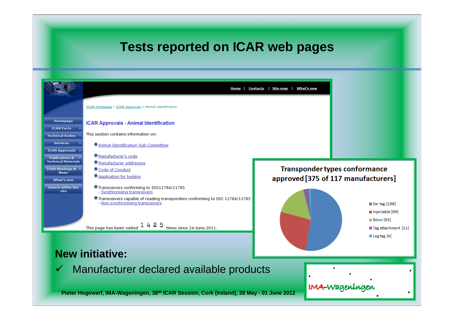# **Tests reported on ICAR web pages**



#### **New initiative:**

 $\checkmark$  Manufacturer declared available products

**Pieter Hogewerf, IMA-Wageningen, 38th ICAR Session, Cork (Ireland), 28 May - 01 June 2012**

IMA-Wageninger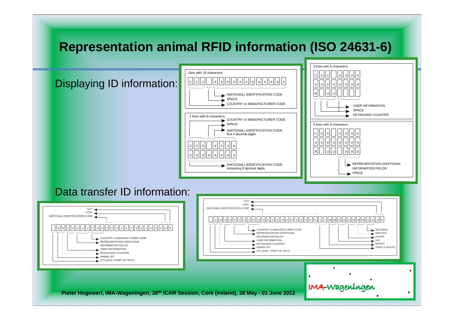# **Representation animal RFID information (ISO 24631-6)**

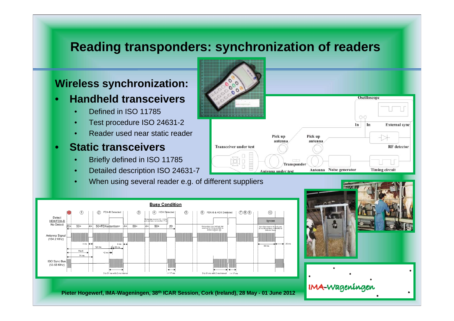# **Reading transponders: synchronization of readers**

#### **Wireless synchronization:**

- **Handheld transceivers**
	- Defined in ISO 11785
	- Test procedure ISO 24631-2
	- Reader used near static reader
- **Static transceivers**
	- Briefly defined in ISO 11785
	- Detailed description ISO 24631-7
	- When using several reader e.g. of different suppliers







**IMA-Wageningen**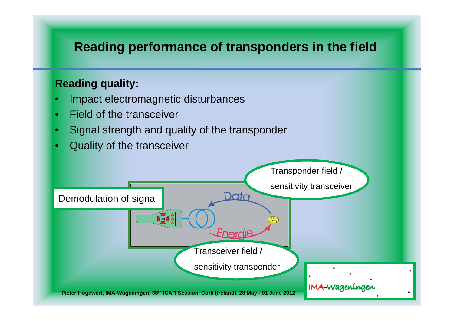# **Reading performance of transponders in the field**

# **Reading quality:**

- Impact electromagnetic disturbances
- Field of the transceiver
- Signal strength and quality of the transponder
- Quality of the transceiver

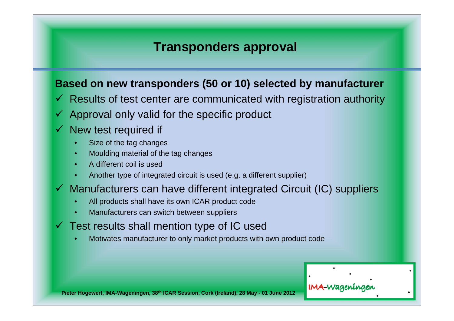# **Transponders approval**

### **Based on new transponders (50 or 10) selected by manufacturer**

- $\checkmark$  Results of test center are communicated with registration authority
- $\checkmark$  Approval only valid for the specific product
- $\checkmark$  New test required if
	- Size of the tag changes
	- Moulding material of the tag changes
	- A different coil is used
	- Another type of integrated circuit is used (e.g. a different supplier)
- $\checkmark$  Manufacturers can have different integrated Circuit (IC) suppliers
	- All products shall have its own ICAR product code
	- Manufacturers can switch between suppliers
- $\checkmark$  Test results shall mention type of IC used
	- Motivates manufacturer to only market products with own product code

IMA-Waaenina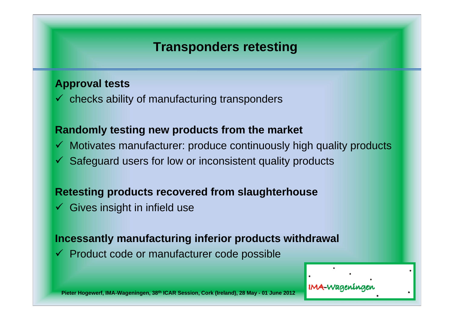# **Transponders retesting**

#### **Approval tests**

 $\checkmark$  checks ability of manufacturing transponders

#### **Randomly testing new products from the market**

- $\checkmark$  Motivates manufacturer: produce continuously high quality products
- $\checkmark$  Safeguard users for low or inconsistent quality products

#### **Retesting products recovered from slaughterhouse**

 $\checkmark$  Gives insight in infield use

#### **Incessantly manufacturing inferior products withdrawal**

 $\checkmark$  Product code or manufacturer code possible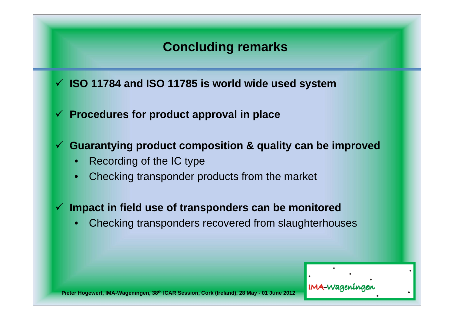# **Concluding remarks**

**ISO 11784 and ISO 11785 is world wide used system**

**Procedures for product approval in place**

**Guarantying product composition & quality can be improved**

- Recording of the IC type
- Checking transponder products from the market
- **Impact in field use of transponders can be monitored** 
	- Checking transponders recovered from slaughterhouses